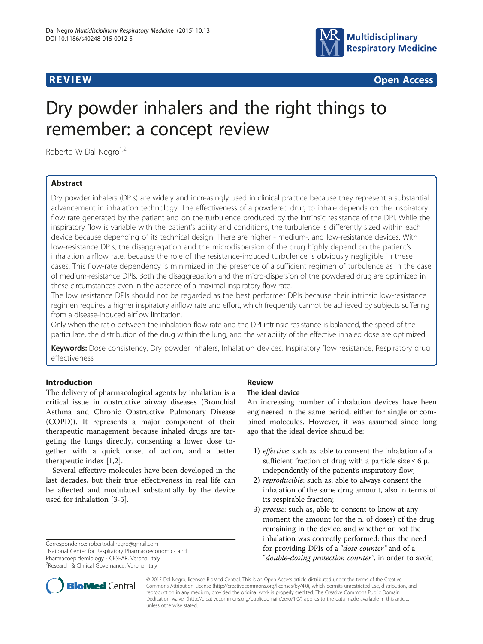

**REVIEW CONSTRUCTION CONSTRUCTION CONSTRUCTION CONSTRUCTS** 

# Dry powder inhalers and the right things to remember: a concept review

Roberto W Dal Negro $1,2$ 

# Abstract

Dry powder inhalers (DPIs) are widely and increasingly used in clinical practice because they represent a substantial advancement in inhalation technology. The effectiveness of a powdered drug to inhale depends on the inspiratory flow rate generated by the patient and on the turbulence produced by the intrinsic resistance of the DPI. While the inspiratory flow is variable with the patient's ability and conditions, the turbulence is differently sized within each device because depending of its technical design. There are higher - medium-, and low-resistance devices. With low-resistance DPIs, the disaggregation and the microdispersion of the drug highly depend on the patient's inhalation airflow rate, because the role of the resistance-induced turbulence is obviously negligible in these cases. This flow-rate dependency is minimized in the presence of a sufficient regimen of turbulence as in the case of medium-resistance DPIs. Both the disaggregation and the micro-dispersion of the powdered drug are optimized in these circumstances even in the absence of a maximal inspiratory flow rate.

The low resistance DPIs should not be regarded as the best performer DPIs because their intrinsic low-resistance regimen requires a higher inspiratory airflow rate and effort, which frequently cannot be achieved by subjects suffering from a disease-induced airflow limitation.

Only when the ratio between the inhalation flow rate and the DPI intrinsic resistance is balanced, the speed of the particulate, the distribution of the drug within the lung, and the variability of the effective inhaled dose are optimized.

Keywords: Dose consistency, Dry powder inhalers, Inhalation devices, Inspiratory flow resistance, Respiratory drug effectiveness

# Introduction

The delivery of pharmacological agents by inhalation is a critical issue in obstructive airway diseases (Bronchial Asthma and Chronic Obstructive Pulmonary Disease (COPD)). It represents a major component of their therapeutic management because inhaled drugs are targeting the lungs directly, consenting a lower dose together with a quick onset of action, and a better therapeutic index [\[1,2](#page-3-0)].

Several effective molecules have been developed in the last decades, but their true effectiveness in real life can be affected and modulated substantially by the device used for inhalation [[3-5](#page-3-0)].

Correspondence: [robertodalnegro@gmail.com](mailto:robertodalnegro@gmail.com) <sup>1</sup>

<sup>1</sup>National Center for Respiratory Pharmacoeconomics and Pharmacoepidemiology - CESFAR, Verona, Italy

<sup>2</sup>Research & Clinical Governance, Verona, Italy

# Review

# The ideal device

An increasing number of inhalation devices have been engineered in the same period, either for single or combined molecules. However, it was assumed since long ago that the ideal device should be:

- 1) effective: such as, able to consent the inhalation of a sufficient fraction of drug with a particle size  $\leq 6 \mu$ , independently of the patient's inspiratory flow;
- 2) reproducible: such as, able to always consent the inhalation of the same drug amount, also in terms of its respirable fraction;
- 3) precise: such as, able to consent to know at any moment the amount (or the n. of doses) of the drug remaining in the device, and whether or not the inhalation was correctly performed: thus the need for providing DPIs of a "dose counter" and of a "double-dosing protection counter", in order to avoid



© 2015 Dal Negro; licensee BioMed Central. This is an Open Access article distributed under the terms of the Creative Commons Attribution License [\(http://creativecommons.org/licenses/by/4.0\)](http://creativecommons.org/licenses/by/4.0), which permits unrestricted use, distribution, and reproduction in any medium, provided the original work is properly credited. The Creative Commons Public Domain Dedication waiver [\(http://creativecommons.org/publicdomain/zero/1.0/](http://creativecommons.org/publicdomain/zero/1.0/)) applies to the data made available in this article, unless otherwise stated.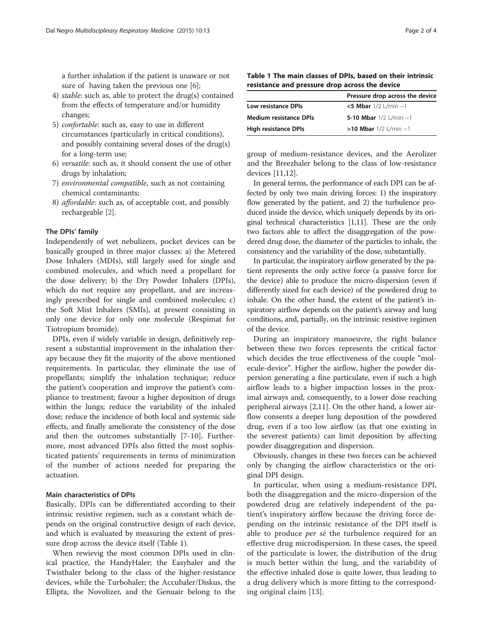a further inhalation if the patient is unaware or not sure of having taken the previous one [\[6](#page-3-0)];

- 4) stable: such as, able to protect the drug(s) contained from the effects of temperature and/or humidity changes;
- 5) confortable: such as, easy to use in different circumstances (particularly in critical conditions), and possibly containing several doses of the drug(s) for a long-term use;
- 6) versatile: such as, it should consent the use of other drugs by inhalation;
- 7) environmental compatible, such as not containing chemical contaminants;
- 8) affordable: such as, of acceptable cost, and possibly rechargeable [\[2\]](#page-3-0).

# The DPIs' family

Independently of wet nebulizers, pocket devices can be basically grouped in three major classes: a) the Metered Dose Inhalers (MDIs), still largely used for single and combined molecules, and which need a propellant for the dose delivery; b) the Dry Powder Inhalers (DPIs), which do not require any propellant, and are increasingly prescribed for single and combined molecules; c) the Soft Mist Inhalers (SMIs), at present consisting in only one device for only one molecule (Respimat for Tiotropium bromide).

DPIs, even if widely variable in design, definitively represent a substantial improvement in the inhalation therapy because they fit the majority of the above mentioned requirements. In particular, they eliminate the use of propellants; simplify the inhalation technique; reduce the patient's cooperation and improve the patient's compliance to treatment; favour a higher deposition of drugs within the lungs; reduce the variability of the inhaled dose; reduce the incidence of both local and systemic side effects, and finally ameliorate the consistency of the dose and then the outcomes substantially [\[7](#page-3-0)-[10\]](#page-3-0). Furthermore, most advanced DPIs also fitted the most sophisticated patients' requirements in terms of minimization of the number of actions needed for preparing the actuation.

#### Main characteristics of DPIs

Basically, DPIs can be differentiated according to their intrinsic resistive regimen, such as a constant which depends on the original constructive design of each device, and which is evaluated by measuring the extent of pressure drop across the device itself (Table 1).

When rewievig the most common DPIs used in clinical practice, the HandyHaler; the Easyhaler and the Twisthaler belong to the class of the higher-resistance devices, while the Turbohaler; the Accuhaler/Diskus, the Ellipta, the Novolizer, and the Genuair belong to the

|  |  |                                                |  | Table 1 The main classes of DPIs, based on their intrinsic |
|--|--|------------------------------------------------|--|------------------------------------------------------------|
|  |  | resistance and pressure drop across the device |  |                                                            |

|                               | Pressure drop across the device |
|-------------------------------|---------------------------------|
| Low resistance DPIs           | <5 Mbar $1/2$ $1$ /min $-1$     |
| <b>Medium resistance DPIs</b> | 5-10 Mbar $1/2$ L/min $-1$      |
| High resistance DPIs          | >10 Mbar $1/2$ $1/$ min $-1$    |

group of medium-resistance devices, and the Aerolizer and the Breezhaler belong to the class of low-resistance devices [\[11,12\]](#page-3-0).

In general terms, the performance of each DPI can be affected by only two main driving forces: 1) the inspiratory flow generated by the patient, and 2) the turbulence produced inside the device, which uniquely depends by its original technical characteristics [[1,11\]](#page-3-0). These are the only two factors able to affect the disaggregation of the powdered drug dose, the diameter of the particles to inhale, the consistency and the variability of the dose, substantially.

In particular, the inspiratory airflow generated by the patient represents the only active force (a passive force for the device) able to produce the micro-dispersion (even if differently sized for each device) of the powdered drug to inhale. On the other hand, the extent of the patient's inspiratory airflow depends on the patient's airway and lung conditions, and, partially, on the intrinsic resistive regimen of the device.

During an inspiratory manoeuvre, the right balance between these two forces represents the critical factor which decides the true effectiveness of the couple "molecule-device". Higher the airflow, higher the powder dispersion generating a fine particulate, even if such a high airflow leads to a higher impaction losses in the proximal airways and, consequently, to a lower dose reaching peripheral airways [\[2,11\]](#page-3-0). On the other hand, a lower airflow consents a deeper lung deposition of the powdered drug, even if a too low airflow (as that one existing in the severest patients) can limit deposition by affecting powder disaggregation and dispersion.

Obviously, changes in these two forces can be achieved only by changing the airflow characteristics or the original DPI design.

In particular, when using a medium-resistance DPI, both the disaggregation and the micro-dispersion of the powdered drug are relatively independent of the patient's inspiratory airflow because the driving force depending on the intrinsic resistance of the DPI itself is able to produce *per se* the turbulence required for an effective drug microdispersion. In these cases, the speed of the particulate is lower, the distribution of the drug is much better within the lung, and the variability of the effective inhaled dose is quite lower, thus leading to a drug delivery which is more fitting to the corresponding original claim [[13](#page-3-0)].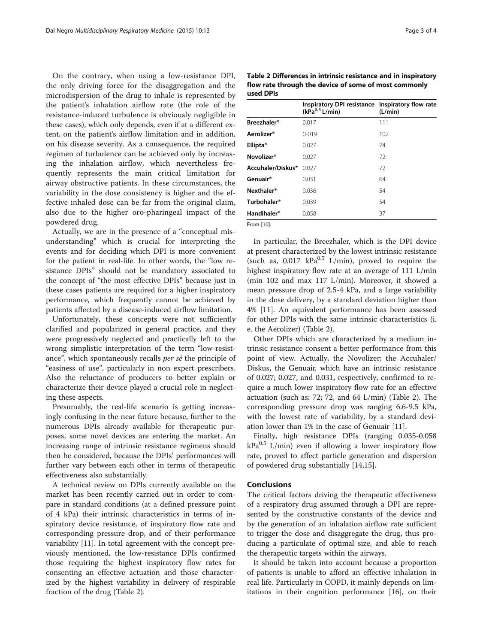On the contrary, when using a low-resistance DPI, the only driving force for the disaggregation and the microdispersion of the drug to inhale is represented by the patient's inhalation airflow rate (the role of the resistance-induced turbulence is obviously negligible in these cases), which only depends, even if at a different extent, on the patient's airflow limitation and in addition, on his disease severity. As a consequence, the required regimen of turbulence can be achieved only by increasing the inhalation airflow, which nevertheless frequently represents the main critical limitation for airway obstructive patients. In these circumstances, the variability in the dose consistency is higher and the effective inhaled dose can be far from the original claim, also due to the higher oro-pharingeal impact of the powdered drug.

Actually, we are in the presence of a "conceptual misunderstanding" which is crucial for interpreting the events and for deciding which DPI is more convenient for the patient in real-life. In other words, the "low resistance DPIs" should not be mandatory associated to the concept of "the most effective DPIs" because just in these cases patients are required for a higher inspiratory performance, which frequently cannot be achieved by patients affected by a disease-induced airflow limitation.

Unfortunately, these concepts were not sufficiently clarified and popularized in general practice, and they were progressively neglected and practically left to the wrong simplistic interpretation of the term "low-resistance", which spontaneously recalls per sè the principle of "easiness of use", particularly in non expert prescribers. Also the reluctance of producers to better explain or characterize their device played a crucial role in neglecting these aspects.

Presumably, the real-life scenario is getting increasingly confusing in the near future because, further to the numerous DPIs already available for therapeutic purposes, some novel devices are entering the market. An increasing range of intrinsic resistance regimens should then be considered, because the DPIs' performances will further vary between each other in terms of therapeutic effectiveness also substantially.

A technical review on DPIs currently available on the market has been recently carried out in order to compare in standard conditions (at a defined pressure point of 4 kPa) their intrinsic characteristics in terms of inspiratory device resistance, of inspiratory flow rate and corresponding pressure drop, and of their performance variability [[11\]](#page-3-0). In total agreement with the concept previously mentioned, the low-resistance DPIs confirmed those requiring the highest inspiratory flow rates for consenting an effective actuation and those characterized by the highest variability in delivery of respirable fraction of the drug (Table 2).

| Table 2 Differences in intrinsic resistance and in inspiratory |
|----------------------------------------------------------------|
| flow rate through the device of some of most commonly          |
| used DPIs                                                      |

|                                | Inspiratory DPI resistance Inspiratory flow rate<br>(kPa <sup>0.5</sup> L/min) | (L/min) |  |  |
|--------------------------------|--------------------------------------------------------------------------------|---------|--|--|
| <b>Breezhaler</b> <sup>®</sup> | 0.017                                                                          | 111     |  |  |
| Aerolizer <sup>®</sup>         | $0 - 019$                                                                      | 102     |  |  |
| Ellipta <sup>®</sup>           | 0.027                                                                          | 74      |  |  |
| Novolizer <sup>®</sup>         | 0.027                                                                          | 72      |  |  |
| Accuhaler/Diskus <sup>®</sup>  | 0.027                                                                          | 72      |  |  |
| Genuair <sup>®</sup>           | 0.031                                                                          | 64      |  |  |
| Nexthaler <sup>®</sup>         | 0.036                                                                          | 54      |  |  |
| Turbohaler <sup>®</sup>        | 0.039                                                                          | 54      |  |  |
| <b>Handihaler</b> ®            | 0.058                                                                          | 37      |  |  |
| $   -$                         |                                                                                |         |  |  |

From [\[10](#page-3-0)].

In particular, the Breezhaler, which is the DPI device at present characterized by the lowest intrinsic resistance (such as,  $0.017$  kPa<sup>0.5</sup> L/min), proved to require the highest inspiratory flow rate at an average of 111 L/min (min 102 and max 117 L/min). Moreover, it showed a mean pressure drop of 2.5-4 kPa, and a large variability in the dose delivery, by a standard deviation higher than 4% [\[11\]](#page-3-0). An equivalent performance has been assessed for other DPIs with the same intrinsic characteristics (i. e. the Aerolizer) (Table 2).

Other DPIs which are characterized by a medium intrinsic resistance consent a better performance from this point of view. Actually, the Novolizer; the Accuhaler/ Diskus, the Genuair, which have an intrinsic resistance of 0.027; 0.027, and 0.031, respectively, confirmed to require a much lower inspiratory flow rate for an effective actuation (such as: 72; 72, and 64 L/min) (Table 2). The corresponding pressure drop was ranging 6.6-9.5 kPa, with the lowest rate of variability, by a standard deviation lower than 1% in the case of Genuair [[11\]](#page-3-0).

Finally, high resistance DPIs (ranging 0.035-0.058  $kPa<sup>0.5</sup> L/min$  even if allowing a lower inspiratory flow rate, proved to affect particle generation and dispersion of powdered drug substantially [\[14,15](#page-3-0)].

# **Conclusions**

The critical factors driving the therapeutic effectiveness of a respiratory drug assumed through a DPI are represented by the constructive constants of the device and by the generation of an inhalation airflow rate sufficient to trigger the dose and disaggregate the drug, thus producing a particulate of optimal size, and able to reach the therapeutic targets within the airways.

It should be taken into account because a proportion of patients is unable to afford an effective inhalation in real life. Particularly in COPD, it mainly depends on limitations in their cognition performance [[16\]](#page-3-0), on their